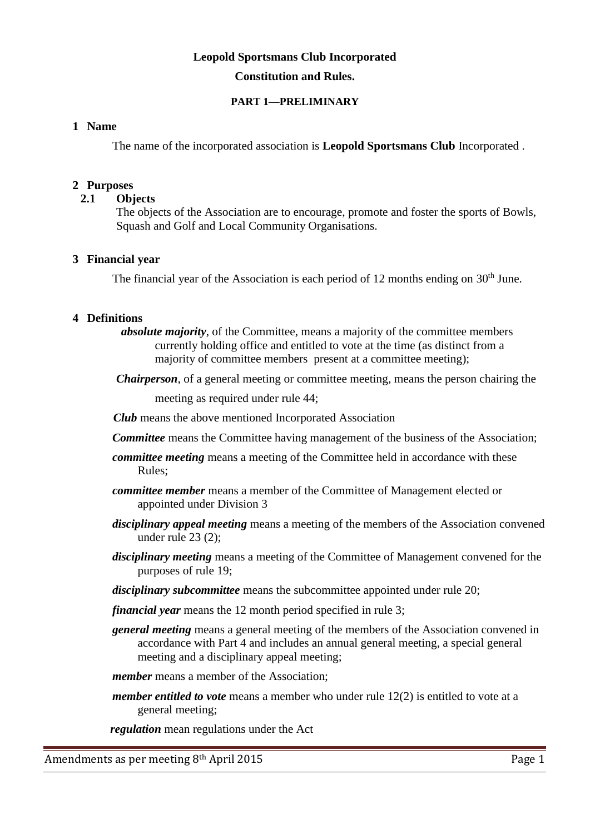# **Leopold Sportsmans Club Incorporated Constitution and Rules.**

### **PART 1—PRELIMINARY**

### **1 Name**

The name of the incorporated association is **Leopold Sportsmans Club** Incorporated .

### **2 Purposes**

### **2.1****Objects**

The objects of the Association are to encourage, promote and foster the sports of Bowls, Squash and Golf and Local Community Organisations.

### **3 Financial year**

The financial year of the Association is each period of 12 months ending on  $30<sup>th</sup>$  June.

### **4 Definitions**

 *absolute majority*, of the Committee, means a majority of the committee members currently holding office and entitled to vote at the time (as distinct from a majority of committee members present at a committee meeting);

*Chairperson*, of a general meeting or committee meeting, means the person chairing the

meeting as required under rule 44;

 *Club* means the above mentioned Incorporated Association

- *Committee* means the Committee having management of the business of the Association;
- *committee meeting* means a meeting of the Committee held in accordance with these Rules;
- *committee member* means a member of the Committee of Management elected or appointed under Division 3
- *disciplinary appeal meeting* means a meeting of the members of the Association convened under rule 23 (2);
- *disciplinary meeting* means a meeting of the Committee of Management convened for the purposes of rule 19;
- *disciplinary subcommittee* means the subcommittee appointed under rule 20;

*financial year* means the 12 month period specified in rule 3;

*general meeting* means a general meeting of the members of the Association convened in accordance with Part 4 and includes an annual general meeting, a special general meeting and a disciplinary appeal meeting;

*member* means a member of the Association;

*member entitled to vote* means a member who under rule 12(2) is entitled to vote at a general meeting;

 *regulation* mean regulations under the Act

Amendments as per meeting 8<sup>th</sup> April 2015 **Page 1** Page 1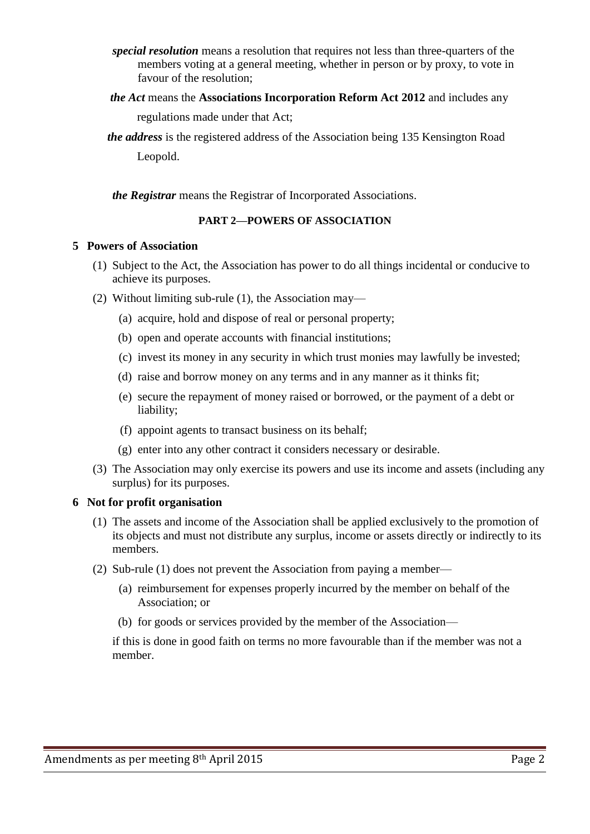- *special resolution* means a resolution that requires not less than three-quarters of the members voting at a general meeting, whether in person or by proxy, to vote in favour of the resolution;
- *the Act* means the **Associations Incorporation Reform Act 2012** and includes any regulations made under that Act;
- *the address* is the registered address of the Association being 135 Kensington Road Leopold.

*the Registrar* means the Registrar of Incorporated Associations.

## **PART 2—POWERS OF ASSOCIATION**

### **5 Powers of Association**

- (1) Subject to the Act, the Association has power to do all things incidental or conducive to achieve its purposes.
- (2) Without limiting sub-rule (1), the Association may—
	- (a) acquire, hold and dispose of real or personal property;
	- (b) open and operate accounts with financial institutions;
	- (c) invest its money in any security in which trust monies may lawfully be invested;
	- (d) raise and borrow money on any terms and in any manner as it thinks fit;
	- (e) secure the repayment of money raised or borrowed, or the payment of a debt or liability;
	- (f) appoint agents to transact business on its behalf;
	- (g) enter into any other contract it considers necessary or desirable.
- (3) The Association may only exercise its powers and use its income and assets (including any surplus) for its purposes.

## **6 Not for profit organisation**

- (1) The assets and income of the Association shall be applied exclusively to the promotion of its objects and must not distribute any surplus, income or assets directly or indirectly to its members.
- (2) Sub-rule (1) does not prevent the Association from paying a member—
	- (a) reimbursement for expenses properly incurred by the member on behalf of the Association; or
	- (b) for goods or services provided by the member of the Association—

if this is done in good faith on terms no more favourable than if the member was not a member.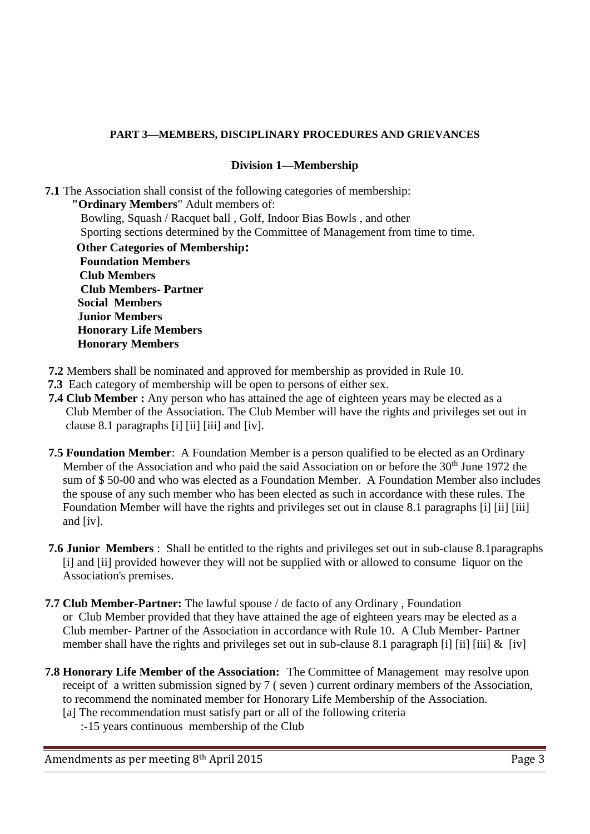# **PART 3—MEMBERS, DISCIPLINARY PROCEDURES AND GRIEVANCES**

# **Division 1—Membership**

**7.1** The Association shall consist of the following categories of membership:

 **"Ordinary Members**" Adult members of: Bowling, Squash / Racquet ball , Golf, Indoor Bias Bowls , and other Sporting sections determined by the Committee of Management from time to time.

 **Other Categories of Membership: Foundation Members Club Members Club Members- Partner Social Members Junior Members Honorary Life Members Honorary Members** 

- **7.2** Members shall be nominated and approved for membership as provided in Rule 10.
- **7.3** Each category of membership will be open to persons of either sex.
- **7.4 Club Member :** Any person who has attained the age of eighteen years may be elected as a Club Member of the Association. The Club Member will have the rights and privileges set out in clause 8.1 paragraphs [i] [ii] [iii] and [iv].
- **7.5 Foundation Member**: A Foundation Member is a person qualified to be elected as an Ordinary Member of the Association and who paid the said Association on or before the 30<sup>th</sup> June 1972 the sum of \$ 50-00 and who was elected as a Foundation Member. A Foundation Member also includes the spouse of any such member who has been elected as such in accordance with these rules. The Foundation Member will have the rights and privileges set out in clause 8.1 paragraphs [i] [ii] [iii] and [iv].
- **7.6 Junior Members** : Shall be entitled to the rights and privileges set out in sub-clause 8.1paragraphs [i] and [ii] provided however they will not be supplied with or allowed to consume liquor on the Association's premises.
- **7.7 Club Member-Partner:** The lawful spouse / de facto of any Ordinary , Foundation or Club Member provided that they have attained the age of eighteen years may be elected as a Club member- Partner of the Association in accordance with Rule 10. A Club Member- Partner member shall have the rights and privileges set out in sub-clause 8.1 paragraph [i] [ii] [iii] & [iv]
- **7.8 Honorary Life Member of the Association:** The Committee of Management may resolve upon receipt of a written submission signed by 7 ( seven ) current ordinary members of the Association, to recommend the nominated member for Honorary Life Membership of the Association.
	- [a] The recommendation must satisfy part or all of the following criteria
		- :-15 years continuous membership of the Club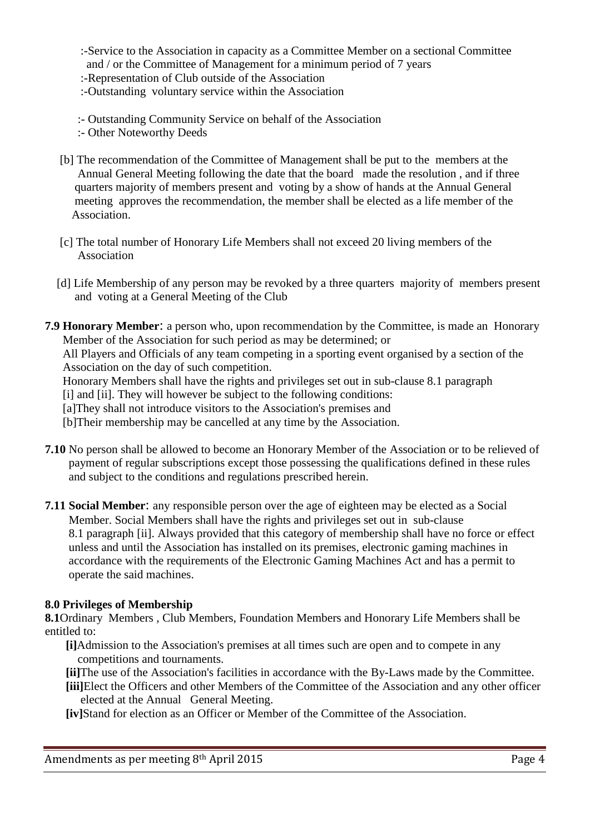- :-Service to the Association in capacity as a Committee Member on a sectional Committee and / or the Committee of Management for a minimum period of 7 years
- :-Representation of Club outside of the Association
- :-Outstanding voluntary service within the Association
- :- Outstanding Community Service on behalf of the Association
- :- Other Noteworthy Deeds
- [b] The recommendation of the Committee of Management shall be put to the members at the Annual General Meeting following the date that the board made the resolution , and if three quarters majority of members present and voting by a show of hands at the Annual General meeting approves the recommendation, the member shall be elected as a life member of the Association.
- [c] The total number of Honorary Life Members shall not exceed 20 living members of the Association
- [d] Life Membership of any person may be revoked by a three quarters majority of members present and voting at a General Meeting of the Club
- **7.9 Honorary Member**: a person who, upon recommendation by the Committee, is made an Honorary Member of the Association for such period as may be determined; or All Players and Officials of any team competing in a sporting event organised by a section of the Association on the day of such competition. Honorary Members shall have the rights and privileges set out in sub-clause 8.1 paragraph [i] and [ii]. They will however be subject to the following conditions: [a]They shall not introduce visitors to the Association's premises and

[b]Their membership may be cancelled at any time by the Association.

- **7.10** No person shall be allowed to become an Honorary Member of the Association or to be relieved of payment of regular subscriptions except those possessing the qualifications defined in these rules and subject to the conditions and regulations prescribed herein.
- **7.11 Social Member**: any responsible person over the age of eighteen may be elected as a Social Member. Social Members shall have the rights and privileges set out in sub-clause 8.1 paragraph [ii]. Always provided that this category of membership shall have no force or effect unless and until the Association has installed on its premises, electronic gaming machines in accordance with the requirements of the Electronic Gaming Machines Act and has a permit to operate the said machines.

## **8.0 Privileges of Membership**

**8.1**Ordinary Members , Club Members, Foundation Members and Honorary Life Members shall be entitled to:

- **[i]**Admission to the Association's premises at all times such are open and to compete in any competitions and tournaments.
- **[ii]**The use of the Association's facilities in accordance with the By-Laws made by the Committee. **[iii]**Elect the Officers and other Members of the Committee of the Association and any other officer elected at the Annual General Meeting.

**[iv]**Stand for election as an Officer or Member of the Committee of the Association.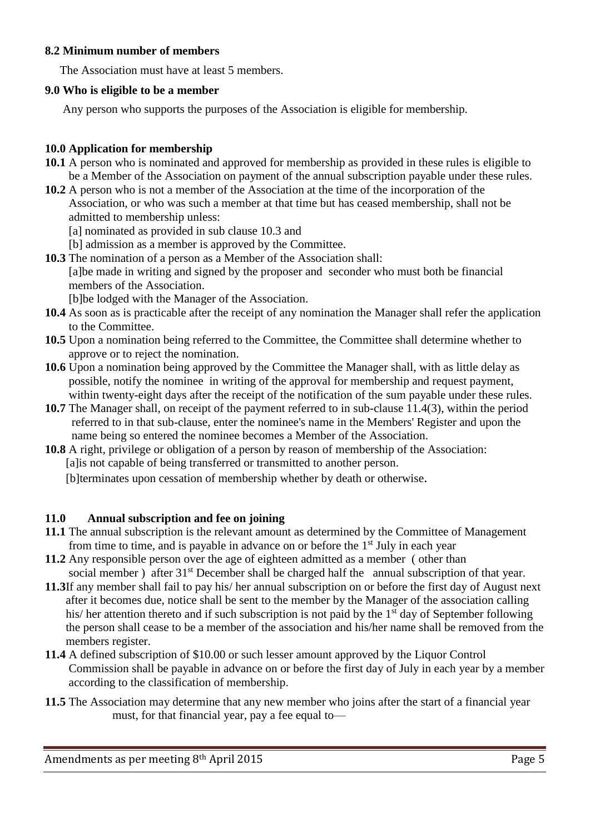## **8.2 Minimum number of members**

The Association must have at least 5 members.

## **9.0 Who is eligible to be a member**

Any person who supports the purposes of the Association is eligible for membership.

# **10.0 Application for membership**

- **10.1** A person who is nominated and approved for membership as provided in these rules is eligible to be a Member of the Association on payment of the annual subscription payable under these rules.
- **10.2** A person who is not a member of the Association at the time of the incorporation of the Association, or who was such a member at that time but has ceased membership, shall not be admitted to membership unless:
	- [a] nominated as provided in sub clause 10.3 and
	- [b] admission as a member is approved by the Committee.
- **10.3** The nomination of a person as a Member of the Association shall: [a]be made in writing and signed by the proposer and seconder who must both be financial members of the Association.

[b]be lodged with the Manager of the Association.

- **10.4** As soon as is practicable after the receipt of any nomination the Manager shall refer the application to the Committee.
- **10.5** Upon a nomination being referred to the Committee, the Committee shall determine whether to approve or to reject the nomination.
- **10.6** Upon a nomination being approved by the Committee the Manager shall, with as little delay as possible, notify the nominee in writing of the approval for membership and request payment, within twenty-eight days after the receipt of the notification of the sum payable under these rules.
- **10.7** The Manager shall, on receipt of the payment referred to in sub-clause 11.4(3), within the period referred to in that sub-clause, enter the nominee's name in the Members' Register and upon the name being so entered the nominee becomes a Member of the Association.
- **10.8** A right, privilege or obligation of a person by reason of membership of the Association: [a]is not capable of being transferred or transmitted to another person.

[b]terminates upon cessation of membership whether by death or otherwise.

# **11.0 Annual subscription and fee on joining**

- **11.1** The annual subscription is the relevant amount as determined by the Committee of Management from time to time, and is payable in advance on or before the  $1<sup>st</sup>$  July in each year
- **11.2** Any responsible person over the age of eighteen admitted as a member ( other than social member) after 31<sup>st</sup> December shall be charged half the annual subscription of that year.
- **11.3**If any member shall fail to pay his/ her annual subscription on or before the first day of August next after it becomes due, notice shall be sent to the member by the Manager of the association calling his/ her attention thereto and if such subscription is not paid by the 1<sup>st</sup> day of September following the person shall cease to be a member of the association and his/her name shall be removed from the members register.
- **11.4** A defined subscription of \$10.00 or such lesser amount approved by the Liquor Control Commission shall be payable in advance on or before the first day of July in each year by a member according to the classification of membership.
- **11.5** The Association may determine that any new member who joins after the start of a financial year must, for that financial year, pay a fee equal to—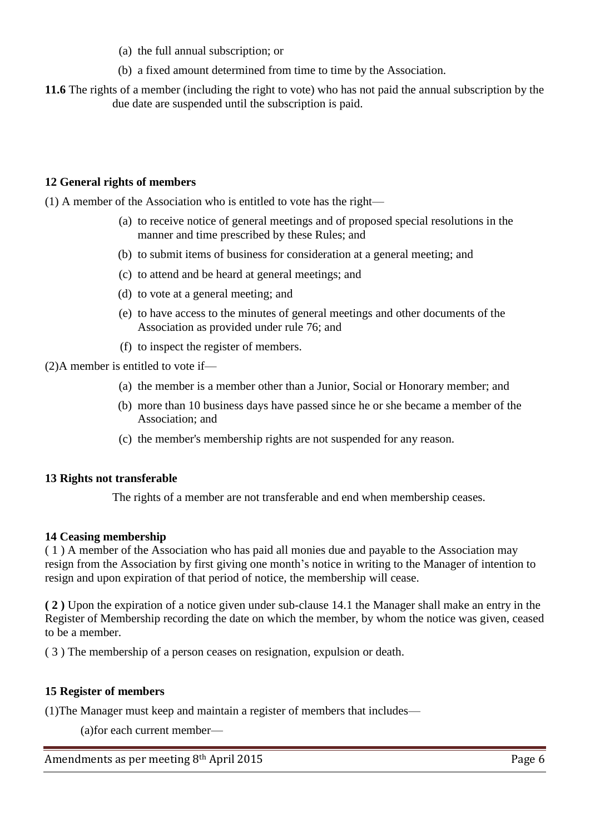- (a) the full annual subscription; or
- (b) a fixed amount determined from time to time by the Association.
- **11.6** The rights of a member (including the right to vote) who has not paid the annual subscription by the due date are suspended until the subscription is paid.

## **12 General rights of members**

(1) A member of the Association who is entitled to vote has the right—

- (a) to receive notice of general meetings and of proposed special resolutions in the manner and time prescribed by these Rules; and
- (b) to submit items of business for consideration at a general meeting; and
- (c) to attend and be heard at general meetings; and
- (d) to vote at a general meeting; and
- (e) to have access to the minutes of general meetings and other documents of the Association as provided under rule 76; and
- (f) to inspect the register of members.

(2)A member is entitled to vote if—

- (a) the member is a member other than a Junior, Social or Honorary member; and
- (b) more than 10 business days have passed since he or she became a member of the Association; and
- (c) the member's membership rights are not suspended for any reason.

## **13 Rights not transferable**

The rights of a member are not transferable and end when membership ceases.

## **14 Ceasing membership**

( 1 ) A member of the Association who has paid all monies due and payable to the Association may resign from the Association by first giving one month's notice in writing to the Manager of intention to resign and upon expiration of that period of notice, the membership will cease.

**( 2 )** Upon the expiration of a notice given under sub-clause 14.1 the Manager shall make an entry in the Register of Membership recording the date on which the member, by whom the notice was given, ceased to be a member.

( 3 ) The membership of a person ceases on resignation, expulsion or death.

## **15 Register of members**

(1)The Manager must keep and maintain a register of members that includes—

(a)for each current member—

Amendments as per meeting 8<sup>th</sup> April 2015 **Page 6**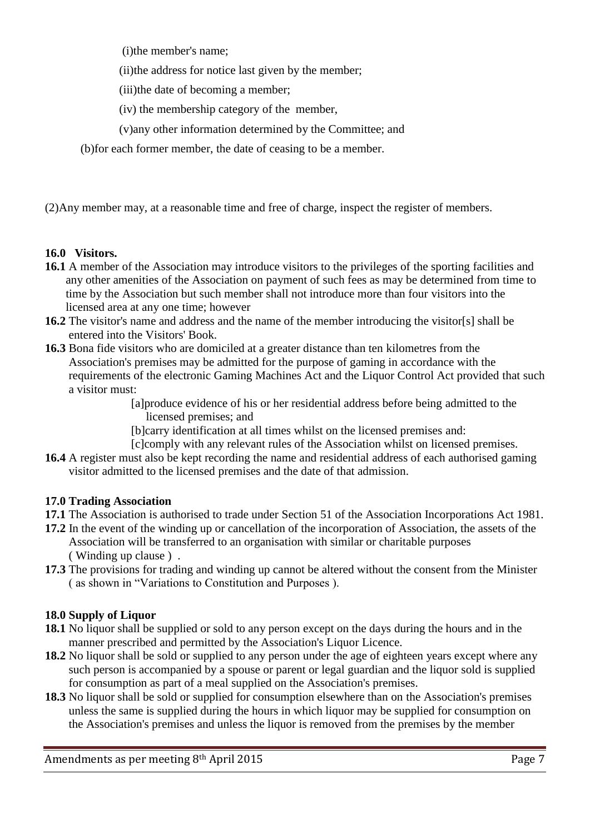(i)the member's name;

(ii)the address for notice last given by the member;

(iii)the date of becoming a member;

(iv) the membership category of the member,

- (v)any other information determined by the Committee; and
- (b)for each former member, the date of ceasing to be a member.

(2)Any member may, at a reasonable time and free of charge, inspect the register of members.

# **16.0 Visitors.**

- **16.1** A member of the Association may introduce visitors to the privileges of the sporting facilities and any other amenities of the Association on payment of such fees as may be determined from time to time by the Association but such member shall not introduce more than four visitors into the licensed area at any one time; however
- **16.2** The visitor's name and address and the name of the member introducing the visitor[s] shall be entered into the Visitors' Book.
- **16.3** Bona fide visitors who are domiciled at a greater distance than ten kilometres from the Association's premises may be admitted for the purpose of gaming in accordance with the requirements of the electronic Gaming Machines Act and the Liquor Control Act provided that such a visitor must:

 [a]produce evidence of his or her residential address before being admitted to the licensed premises; and

[b]carry identification at all times whilst on the licensed premises and:

[c]comply with any relevant rules of the Association whilst on licensed premises.

**16.4** A register must also be kept recording the name and residential address of each authorised gaming visitor admitted to the licensed premises and the date of that admission.

# **17.0 Trading Association**

- **17.1** The Association is authorised to trade under Section 51 of the Association Incorporations Act 1981.
- **17.2** In the event of the winding up or cancellation of the incorporation of Association, the assets of the Association will be transferred to an organisation with similar or charitable purposes ( Winding up clause ) .
- **17.3** The provisions for trading and winding up cannot be altered without the consent from the Minister ( as shown in "Variations to Constitution and Purposes ).

# **18.0 Supply of Liquor**

- **18.1** No liquor shall be supplied or sold to any person except on the days during the hours and in the manner prescribed and permitted by the Association's Liquor Licence.
- **18.2** No liquor shall be sold or supplied to any person under the age of eighteen years except where any such person is accompanied by a spouse or parent or legal guardian and the liquor sold is supplied for consumption as part of a meal supplied on the Association's premises.
- **18.3** No liquor shall be sold or supplied for consumption elsewhere than on the Association's premises unless the same is supplied during the hours in which liquor may be supplied for consumption on the Association's premises and unless the liquor is removed from the premises by the member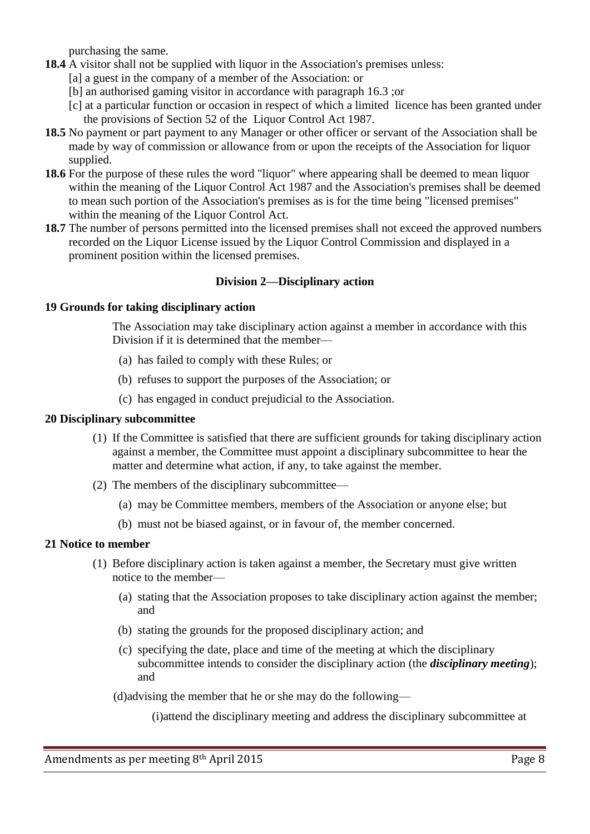purchasing the same.

- **18.4** A visitor shall not be supplied with liquor in the Association's premises unless:
	- [a] a guest in the company of a member of the Association: or
	- [b] an authorised gaming visitor in accordance with paragraph 16.3 ;or
	- [c] at a particular function or occasion in respect of which a limited licence has been granted under the provisions of Section 52 of the Liquor Control Act 1987.
- **18.5** No payment or part payment to any Manager or other officer or servant of the Association shall be made by way of commission or allowance from or upon the receipts of the Association for liquor supplied.
- **18.6** For the purpose of these rules the word "liquor" where appearing shall be deemed to mean liquor within the meaning of the Liquor Control Act 1987 and the Association's premises shall be deemed to mean such portion of the Association's premises as is for the time being "licensed premises" within the meaning of the Liquor Control Act.
- **18.7** The number of persons permitted into the licensed premises shall not exceed the approved numbers recorded on the Liquor License issued by the Liquor Control Commission and displayed in a prominent position within the licensed premises.

## **Division 2—Disciplinary action**

### **19 Grounds for taking disciplinary action**

The Association may take disciplinary action against a member in accordance with this Division if it is determined that the member—

- (a) has failed to comply with these Rules; or
- (b) refuses to support the purposes of the Association; or
- (c) has engaged in conduct prejudicial to the Association.

### **20 Disciplinary subcommittee**

- (1) If the Committee is satisfied that there are sufficient grounds for taking disciplinary action against a member, the Committee must appoint a disciplinary subcommittee to hear the matter and determine what action, if any, to take against the member.
- (2) The members of the disciplinary subcommittee—
	- (a) may be Committee members, members of the Association or anyone else; but
	- (b) must not be biased against, or in favour of, the member concerned.

## **21 Notice to member**

- (1) Before disciplinary action is taken against a member, the Secretary must give written notice to the member—
	- (a) stating that the Association proposes to take disciplinary action against the member; and
	- (b) stating the grounds for the proposed disciplinary action; and
	- (c) specifying the date, place and time of the meeting at which the disciplinary subcommittee intends to consider the disciplinary action (the *disciplinary meeting*); and

(d)advising the member that he or she may do the following—

(i)attend the disciplinary meeting and address the disciplinary subcommittee at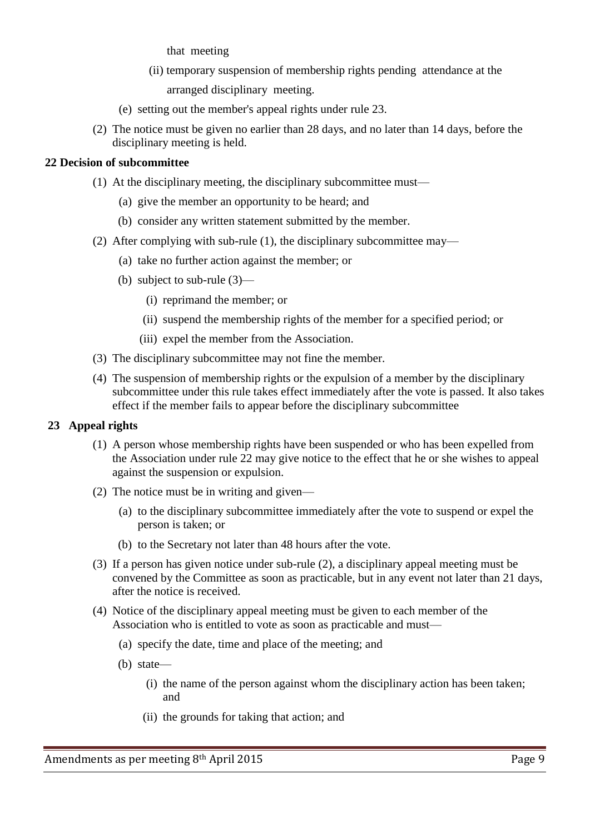that meeting

- (ii) temporary suspension of membership rights pending attendance at the arranged disciplinary meeting.
- (e) setting out the member's appeal rights under rule 23.
- (2) The notice must be given no earlier than 28 days, and no later than 14 days, before the disciplinary meeting is held.

## **22 Decision of subcommittee**

- (1) At the disciplinary meeting, the disciplinary subcommittee must—
	- (a) give the member an opportunity to be heard; and
	- (b) consider any written statement submitted by the member.
- (2) After complying with sub-rule (1), the disciplinary subcommittee may—
	- (a) take no further action against the member; or
	- (b) subject to sub-rule (3)—
		- (i) reprimand the member; or
		- (ii) suspend the membership rights of the member for a specified period; or
		- (iii) expel the member from the Association.
- (3) The disciplinary subcommittee may not fine the member.
- (4) The suspension of membership rights or the expulsion of a member by the disciplinary subcommittee under this rule takes effect immediately after the vote is passed. It also takes effect if the member fails to appear before the disciplinary subcommittee

## **23 Appeal rights**

- (1) A person whose membership rights have been suspended or who has been expelled from the Association under rule 22 may give notice to the effect that he or she wishes to appeal against the suspension or expulsion.
- (2) The notice must be in writing and given—
	- (a) to the disciplinary subcommittee immediately after the vote to suspend or expel the person is taken; or
	- (b) to the Secretary not later than 48 hours after the vote.
- (3) If a person has given notice under sub-rule (2), a disciplinary appeal meeting must be convened by the Committee as soon as practicable, but in any event not later than 21 days, after the notice is received.
- (4) Notice of the disciplinary appeal meeting must be given to each member of the Association who is entitled to vote as soon as practicable and must—
	- (a) specify the date, time and place of the meeting; and
	- (b) state—
		- (i) the name of the person against whom the disciplinary action has been taken; and
		- (ii) the grounds for taking that action; and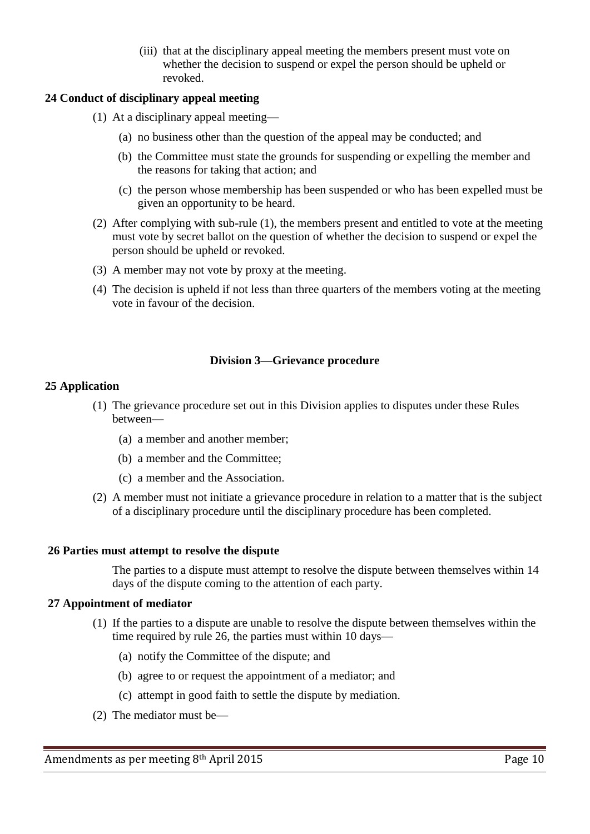(iii) that at the disciplinary appeal meeting the members present must vote on whether the decision to suspend or expel the person should be upheld or revoked.

## **24 Conduct of disciplinary appeal meeting**

- (1) At a disciplinary appeal meeting—
	- (a) no business other than the question of the appeal may be conducted; and
	- (b) the Committee must state the grounds for suspending or expelling the member and the reasons for taking that action; and
	- (c) the person whose membership has been suspended or who has been expelled must be given an opportunity to be heard.
- (2) After complying with sub-rule (1), the members present and entitled to vote at the meeting must vote by secret ballot on the question of whether the decision to suspend or expel the person should be upheld or revoked.
- (3) A member may not vote by proxy at the meeting.
- (4) The decision is upheld if not less than three quarters of the members voting at the meeting vote in favour of the decision.

## **Division 3—Grievance procedure**

#### **25 Application**

- (1) The grievance procedure set out in this Division applies to disputes under these Rules between—
	- (a) a member and another member;
	- (b) a member and the Committee;
	- (c) a member and the Association.
- (2) A member must not initiate a grievance procedure in relation to a matter that is the subject of a disciplinary procedure until the disciplinary procedure has been completed.

#### **26 Parties must attempt to resolve the dispute**

The parties to a dispute must attempt to resolve the dispute between themselves within 14 days of the dispute coming to the attention of each party.

#### **27 Appointment of mediator**

- (1) If the parties to a dispute are unable to resolve the dispute between themselves within the time required by rule 26, the parties must within 10 days—
	- (a) notify the Committee of the dispute; and
	- (b) agree to or request the appointment of a mediator; and
	- (c) attempt in good faith to settle the dispute by mediation.
- (2) The mediator must be—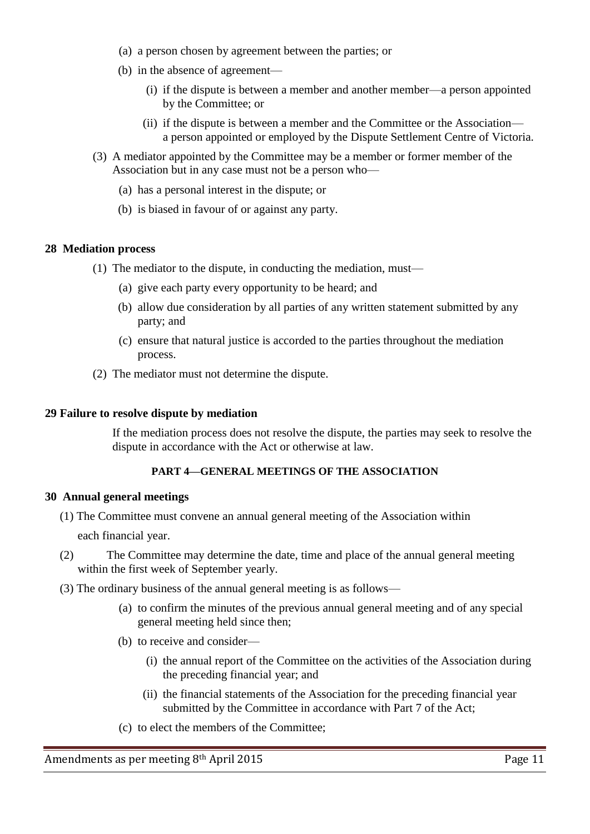- (a) a person chosen by agreement between the parties; or
- (b) in the absence of agreement—
	- (i) if the dispute is between a member and another member—a person appointed by the Committee; or
	- (ii) if the dispute is between a member and the Committee or the Association a person appointed or employed by the Dispute Settlement Centre of Victoria.
- (3) A mediator appointed by the Committee may be a member or former member of the Association but in any case must not be a person who—
	- (a) has a personal interest in the dispute; or
	- (b) is biased in favour of or against any party.

### **28 Mediation process**

- (1) The mediator to the dispute, in conducting the mediation, must—
	- (a) give each party every opportunity to be heard; and
	- (b) allow due consideration by all parties of any written statement submitted by any party; and
	- (c) ensure that natural justice is accorded to the parties throughout the mediation process.
- (2) The mediator must not determine the dispute.

### **29 Failure to resolve dispute by mediation**

If the mediation process does not resolve the dispute, the parties may seek to resolve the dispute in accordance with the Act or otherwise at law.

## **PART 4—GENERAL MEETINGS OF THE ASSOCIATION**

#### **30 Annual general meetings**

(1) The Committee must convene an annual general meeting of the Association within

each financial year.

- (2) The Committee may determine the date, time and place of the annual general meeting within the first week of September yearly.
- (3) The ordinary business of the annual general meeting is as follows—
	- (a) to confirm the minutes of the previous annual general meeting and of any special general meeting held since then;
	- (b) to receive and consider—
		- (i) the annual report of the Committee on the activities of the Association during the preceding financial year; and
		- (ii) the financial statements of the Association for the preceding financial year submitted by the Committee in accordance with Part 7 of the Act;
	- (c) to elect the members of the Committee;

Amendments as per meeting 8<sup>th</sup> April 2015 **Page 11** Page 11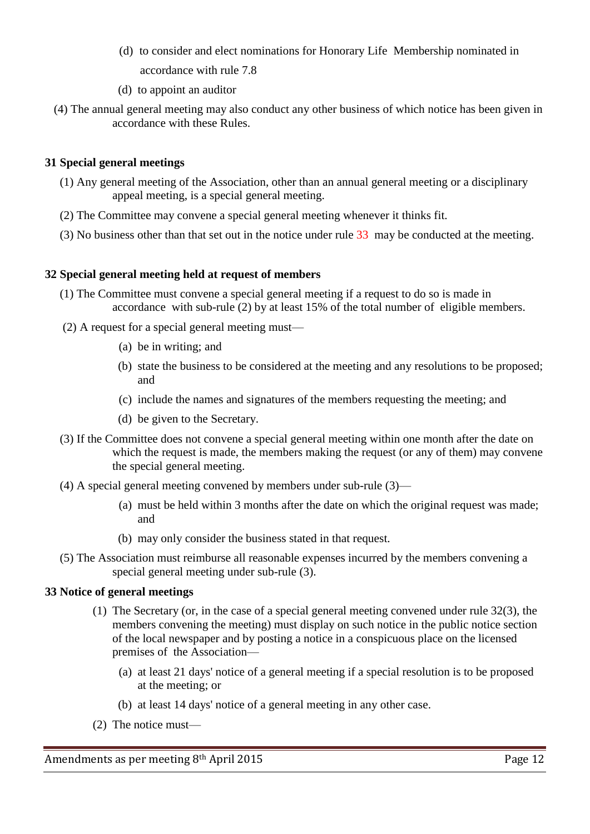- (d) to consider and elect nominations for Honorary Life Membership nominated in accordance with rule 7.8
- (d) to appoint an auditor
- (4) The annual general meeting may also conduct any other business of which notice has been given in accordance with these Rules.

## **31 Special general meetings**

- (1) Any general meeting of the Association, other than an annual general meeting or a disciplinary appeal meeting, is a special general meeting.
- (2) The Committee may convene a special general meeting whenever it thinks fit.
- (3) No business other than that set out in the notice under rule 33 may be conducted at the meeting.

## **32 Special general meeting held at request of members**

- (1) The Committee must convene a special general meeting if a request to do so is made in accordance with sub-rule (2) by at least 15% of the total number of eligible members.
- (2) A request for a special general meeting must—
	- (a) be in writing; and
	- (b) state the business to be considered at the meeting and any resolutions to be proposed; and
	- (c) include the names and signatures of the members requesting the meeting; and
	- (d) be given to the Secretary.
- (3) If the Committee does not convene a special general meeting within one month after the date on which the request is made, the members making the request (or any of them) may convene the special general meeting.
- (4) A special general meeting convened by members under sub-rule (3)—
	- (a) must be held within 3 months after the date on which the original request was made; and
	- (b) may only consider the business stated in that request.
- (5) The Association must reimburse all reasonable expenses incurred by the members convening a special general meeting under sub-rule (3).

## **33 Notice of general meetings**

- (1) The Secretary (or, in the case of a special general meeting convened under rule 32(3), the members convening the meeting) must display on such notice in the public notice section of the local newspaper and by posting a notice in a conspicuous place on the licensed premises of the Association—
	- (a) at least 21 days' notice of a general meeting if a special resolution is to be proposed at the meeting; or
	- (b) at least 14 days' notice of a general meeting in any other case.
- (2) The notice must—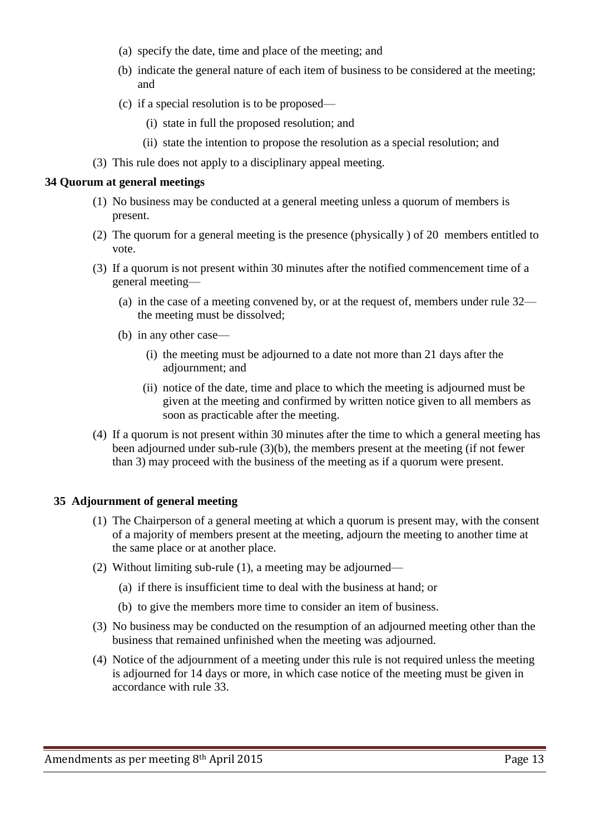- (a) specify the date, time and place of the meeting; and
- (b) indicate the general nature of each item of business to be considered at the meeting; and
- (c) if a special resolution is to be proposed—
	- (i) state in full the proposed resolution; and
	- (ii) state the intention to propose the resolution as a special resolution; and
- (3) This rule does not apply to a disciplinary appeal meeting.

### **34 Quorum at general meetings**

- (1) No business may be conducted at a general meeting unless a quorum of members is present.
- (2) The quorum for a general meeting is the presence (physically ) of 20 members entitled to vote.
- (3) If a quorum is not present within 30 minutes after the notified commencement time of a general meeting—
	- (a) in the case of a meeting convened by, or at the request of, members under rule 32 the meeting must be dissolved;
	- (b) in any other case—
		- (i) the meeting must be adjourned to a date not more than 21 days after the adjournment; and
		- (ii) notice of the date, time and place to which the meeting is adjourned must be given at the meeting and confirmed by written notice given to all members as soon as practicable after the meeting.
- (4) If a quorum is not present within 30 minutes after the time to which a general meeting has been adjourned under sub-rule (3)(b), the members present at the meeting (if not fewer than 3) may proceed with the business of the meeting as if a quorum were present.

## **35 Adjournment of general meeting**

- (1) The Chairperson of a general meeting at which a quorum is present may, with the consent of a majority of members present at the meeting, adjourn the meeting to another time at the same place or at another place.
- (2) Without limiting sub-rule (1), a meeting may be adjourned—
	- (a) if there is insufficient time to deal with the business at hand; or
	- (b) to give the members more time to consider an item of business.
- (3) No business may be conducted on the resumption of an adjourned meeting other than the business that remained unfinished when the meeting was adjourned.
- (4) Notice of the adjournment of a meeting under this rule is not required unless the meeting is adjourned for 14 days or more, in which case notice of the meeting must be given in accordance with rule 33.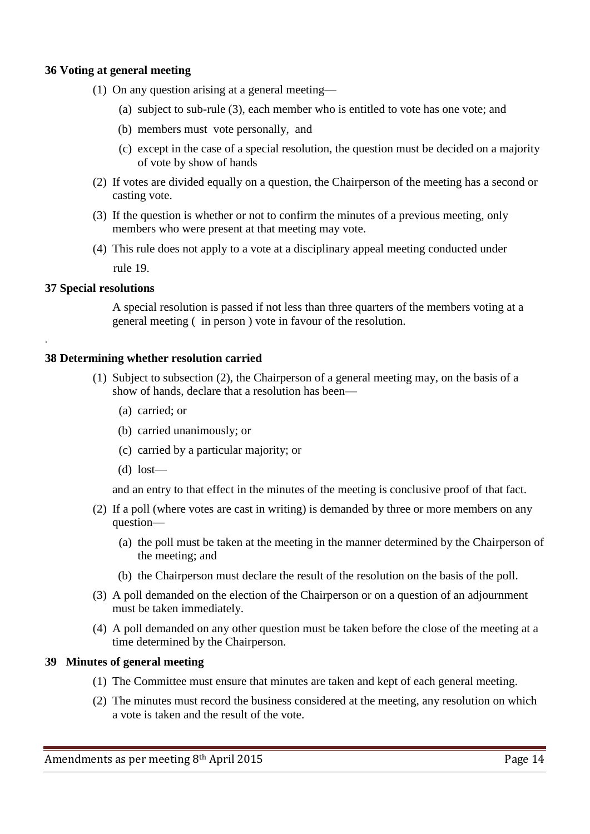### **36 Voting at general meeting**

- (1) On any question arising at a general meeting—
	- (a) subject to sub-rule (3), each member who is entitled to vote has one vote; and
	- (b) members must vote personally, and
	- (c) except in the case of a special resolution, the question must be decided on a majority of vote by show of hands
- (2) If votes are divided equally on a question, the Chairperson of the meeting has a second or casting vote.
- (3) If the question is whether or not to confirm the minutes of a previous meeting, only members who were present at that meeting may vote.
- (4) This rule does not apply to a vote at a disciplinary appeal meeting conducted under rule 19.

### **37 Special resolutions**

.

A special resolution is passed if not less than three quarters of the members voting at a general meeting ( in person ) vote in favour of the resolution.

### **38 Determining whether resolution carried**

- (1) Subject to subsection (2), the Chairperson of a general meeting may, on the basis of a show of hands, declare that a resolution has been—
	- (a) carried; or
	- (b) carried unanimously; or
	- (c) carried by a particular majority; or
	- (d) lost—

and an entry to that effect in the minutes of the meeting is conclusive proof of that fact.

- (2) If a poll (where votes are cast in writing) is demanded by three or more members on any question—
	- (a) the poll must be taken at the meeting in the manner determined by the Chairperson of the meeting; and
	- (b) the Chairperson must declare the result of the resolution on the basis of the poll.
- (3) A poll demanded on the election of the Chairperson or on a question of an adjournment must be taken immediately.
- (4) A poll demanded on any other question must be taken before the close of the meeting at a time determined by the Chairperson.

#### **39 Minutes of general meeting**

- (1) The Committee must ensure that minutes are taken and kept of each general meeting.
- (2) The minutes must record the business considered at the meeting, any resolution on which a vote is taken and the result of the vote.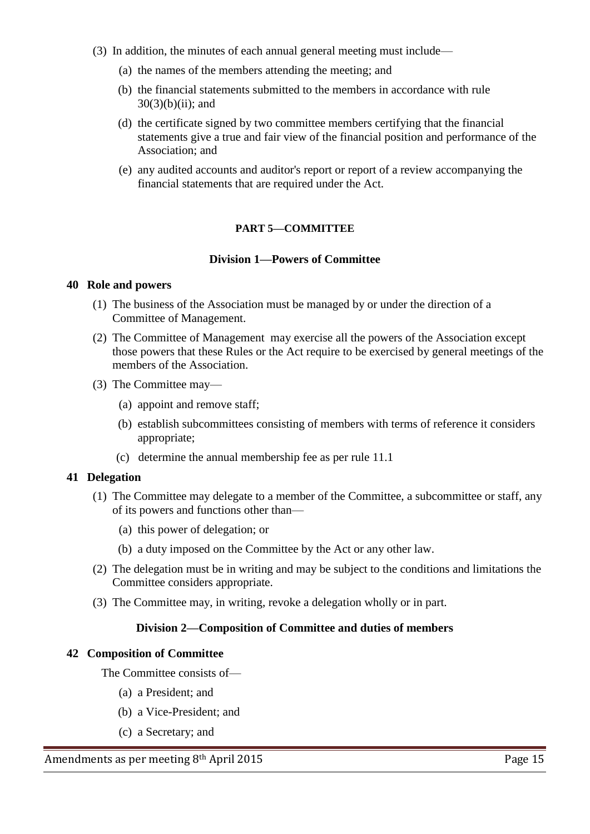- (3) In addition, the minutes of each annual general meeting must include—
	- (a) the names of the members attending the meeting; and
	- (b) the financial statements submitted to the members in accordance with rule  $30(3)(b)(ii)$ ; and
	- (d) the certificate signed by two committee members certifying that the financial statements give a true and fair view of the financial position and performance of the Association; and
	- (e) any audited accounts and auditor's report or report of a review accompanying the financial statements that are required under the Act.

## **PART 5—COMMITTEE**

### **Division 1—Powers of Committee**

#### **40 Role and powers**

- (1) The business of the Association must be managed by or under the direction of a Committee of Management.
- (2) The Committee of Management may exercise all the powers of the Association except those powers that these Rules or the Act require to be exercised by general meetings of the members of the Association.
- (3) The Committee may—
	- (a) appoint and remove staff;
	- (b) establish subcommittees consisting of members with terms of reference it considers appropriate;
	- (c) determine the annual membership fee as per rule 11.1

#### **41 Delegation**

- (1) The Committee may delegate to a member of the Committee, a subcommittee or staff, any of its powers and functions other than—
	- (a) this power of delegation; or
	- (b) a duty imposed on the Committee by the Act or any other law.
- (2) The delegation must be in writing and may be subject to the conditions and limitations the Committee considers appropriate.
- (3) The Committee may, in writing, revoke a delegation wholly or in part.

## **Division 2—Composition of Committee and duties of members**

#### **42 Composition of Committee**

The Committee consists of—

- (a) a President; and
- (b) a Vice-President; and
- (c) a Secretary; and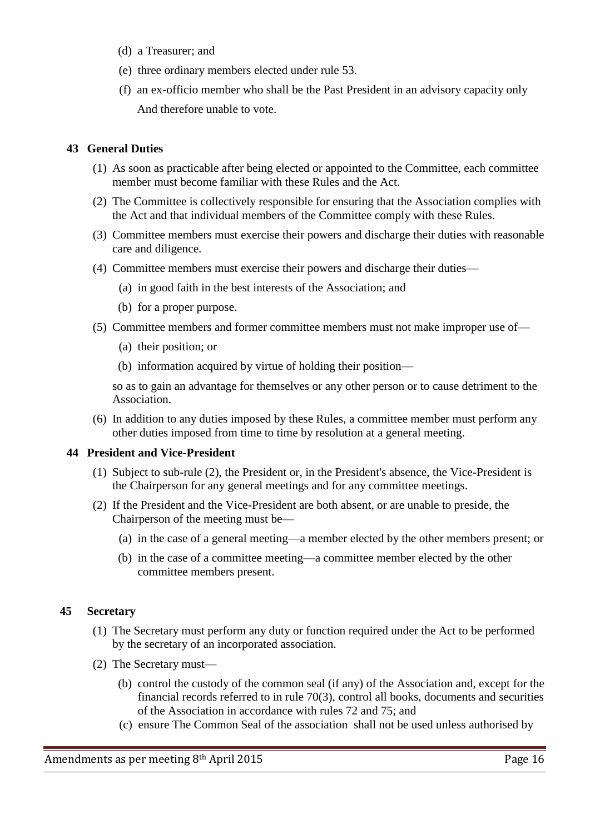- (d) a Treasurer; and
- (e) three ordinary members elected under rule 53.
- (f) an ex-officio member who shall be the Past President in an advisory capacity only And therefore unable to vote.

## **43 General Duties**

- (1) As soon as practicable after being elected or appointed to the Committee, each committee member must become familiar with these Rules and the Act.
- (2) The Committee is collectively responsible for ensuring that the Association complies with the Act and that individual members of the Committee comply with these Rules.
- (3) Committee members must exercise their powers and discharge their duties with reasonable care and diligence.
- (4) Committee members must exercise their powers and discharge their duties—
	- (a) in good faith in the best interests of the Association; and
	- (b) for a proper purpose.
- (5) Committee members and former committee members must not make improper use of—
	- (a) their position; or
	- (b) information acquired by virtue of holding their position—

so as to gain an advantage for themselves or any other person or to cause detriment to the Association.

 (6) In addition to any duties imposed by these Rules, a committee member must perform any other duties imposed from time to time by resolution at a general meeting.

## **44 President and Vice-President**

- (1) Subject to sub-rule (2), the President or, in the President's absence, the Vice-President is the Chairperson for any general meetings and for any committee meetings.
- (2) If the President and the Vice-President are both absent, or are unable to preside, the Chairperson of the meeting must be—
	- (a) in the case of a general meeting—a member elected by the other members present; or
	- (b) in the case of a committee meeting—a committee member elected by the other committee members present.

## **45 Secretary**

- (1) The Secretary must perform any duty or function required under the Act to be performed by the secretary of an incorporated association.
- (2) The Secretary must—
	- (b) control the custody of the common seal (if any) of the Association and, except for the financial records referred to in rule 70(3), control all books, documents and securities of the Association in accordance with rules 72 and 75; and
	- (c) ensure The Common Seal of the association shall not be used unless authorised by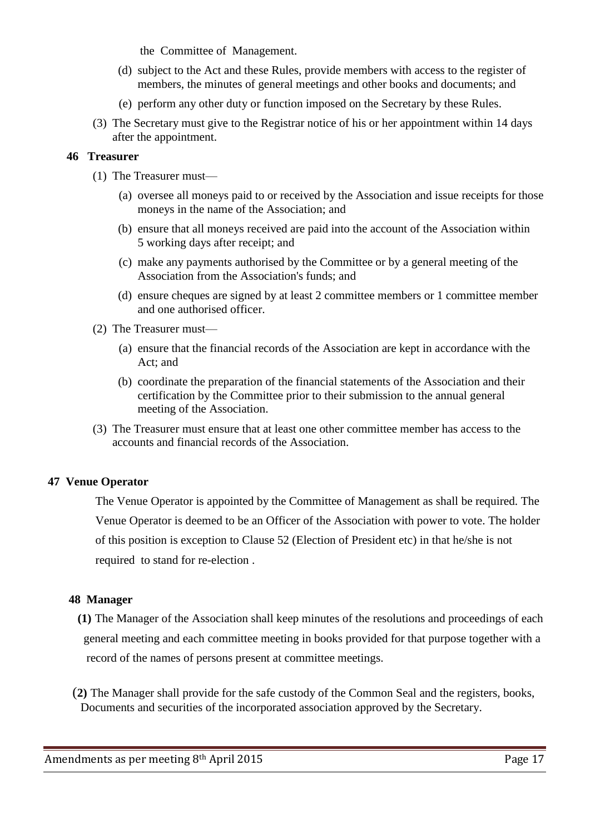the Committee of Management.

- (d) subject to the Act and these Rules, provide members with access to the register of members, the minutes of general meetings and other books and documents; and
- (e) perform any other duty or function imposed on the Secretary by these Rules.
- (3) The Secretary must give to the Registrar notice of his or her appointment within 14 days after the appointment.

## **46 Treasurer**

- (1) The Treasurer must—
	- (a) oversee all moneys paid to or received by the Association and issue receipts for those moneys in the name of the Association; and
	- (b) ensure that all moneys received are paid into the account of the Association within 5 working days after receipt; and
	- (c) make any payments authorised by the Committee or by a general meeting of the Association from the Association's funds; and
	- (d) ensure cheques are signed by at least 2 committee members or 1 committee member and one authorised officer.
- (2) The Treasurer must—
	- (a) ensure that the financial records of the Association are kept in accordance with the Act; and
	- (b) coordinate the preparation of the financial statements of the Association and their certification by the Committee prior to their submission to the annual general meeting of the Association.
- (3) The Treasurer must ensure that at least one other committee member has access to the accounts and financial records of the Association.

# **47 Venue Operator**

The Venue Operator is appointed by the Committee of Management as shall be required. The Venue Operator is deemed to be an Officer of the Association with power to vote. The holder of this position is exception to Clause 52 (Election of President etc) in that he/she is not required to stand for re-election .

## **48 Manager**

 **(1)** The Manager of the Association shall keep minutes of the resolutions and proceedings of each general meeting and each committee meeting in books provided for that purpose together with a record of the names of persons present at committee meetings.

 (**2)** The Manager shall provide for the safe custody of the Common Seal and the registers, books, Documents and securities of the incorporated association approved by the Secretary.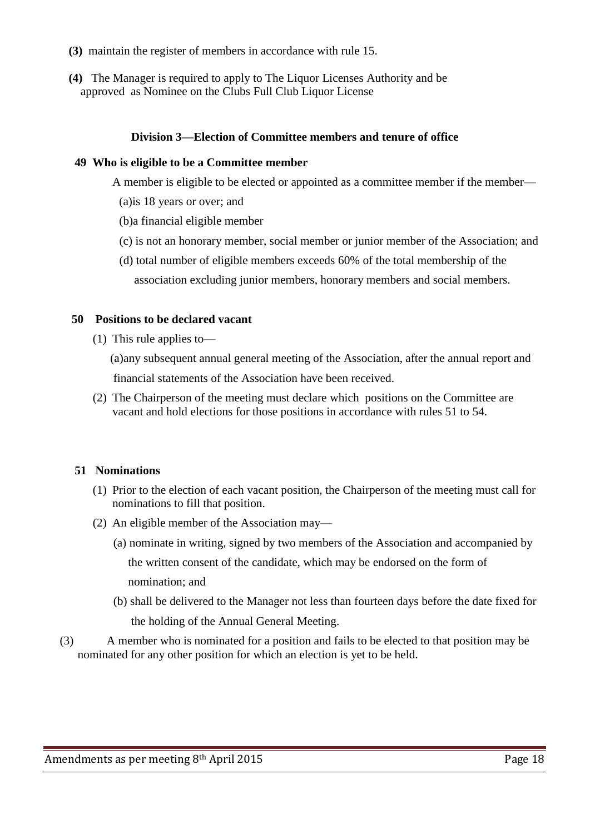- **(3)** maintain the register of members in accordance with rule 15.
- **(4)** The Manager is required to apply to The Liquor Licenses Authority and be approved as Nominee on the Clubs Full Club Liquor License

### **Division 3—Election of Committee members and tenure of office**

#### **49 Who is eligible to be a Committee member**

A member is eligible to be elected or appointed as a committee member if the member—

- (a)is 18 years or over; and
- (b)a financial eligible member
- (c) is not an honorary member, social member or junior member of the Association; and
- (d) total number of eligible members exceeds 60% of the total membership of the association excluding junior members, honorary members and social members.

#### **50 Positions to be declared vacant**

(1) This rule applies to—

 (a)any subsequent annual general meeting of the Association, after the annual report and financial statements of the Association have been received.

 (2) The Chairperson of the meeting must declare which positions on the Committee are vacant and hold elections for those positions in accordance with rules 51 to 54.

#### **51 Nominations**

- (1) Prior to the election of each vacant position, the Chairperson of the meeting must call for nominations to fill that position.
- (2) An eligible member of the Association may—
	- (a) nominate in writing, signed by two members of the Association and accompanied by the written consent of the candidate, which may be endorsed on the form of nomination; and
	- (b) shall be delivered to the Manager not less than fourteen days before the date fixed for

the holding of the Annual General Meeting.

(3) A member who is nominated for a position and fails to be elected to that position may be nominated for any other position for which an election is yet to be held.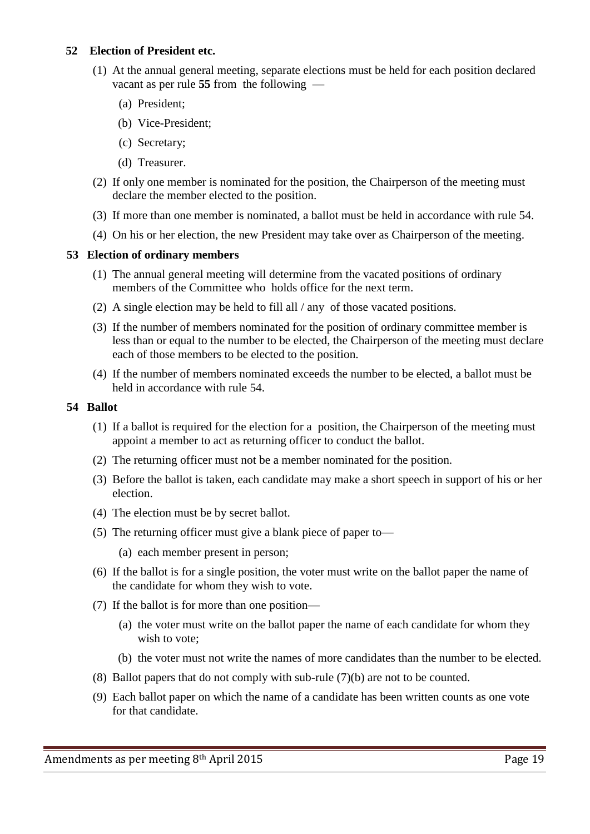## **52 Election of President etc.**

- (1) At the annual general meeting, separate elections must be held for each position declared vacant as per rule **55** from the following —
	- (a) President;
	- (b) Vice-President;
	- (c) Secretary;
	- (d) Treasurer.
- (2) If only one member is nominated for the position, the Chairperson of the meeting must declare the member elected to the position.
- (3) If more than one member is nominated, a ballot must be held in accordance with rule 54.
- (4) On his or her election, the new President may take over as Chairperson of the meeting.

### **53 Election of ordinary members**

- (1) The annual general meeting will determine from the vacated positions of ordinary members of the Committee who holds office for the next term.
- (2) A single election may be held to fill all / any of those vacated positions.
- (3) If the number of members nominated for the position of ordinary committee member is less than or equal to the number to be elected, the Chairperson of the meeting must declare each of those members to be elected to the position.
- (4) If the number of members nominated exceeds the number to be elected, a ballot must be held in accordance with rule 54.

### **54 Ballot**

- (1) If a ballot is required for the election for a position, the Chairperson of the meeting must appoint a member to act as returning officer to conduct the ballot.
- (2) The returning officer must not be a member nominated for the position.
- (3) Before the ballot is taken, each candidate may make a short speech in support of his or her election.
- (4) The election must be by secret ballot.
- (5) The returning officer must give a blank piece of paper to—
	- (a) each member present in person;
- (6) If the ballot is for a single position, the voter must write on the ballot paper the name of the candidate for whom they wish to vote.
- (7) If the ballot is for more than one position—
	- (a) the voter must write on the ballot paper the name of each candidate for whom they wish to vote;
	- (b) the voter must not write the names of more candidates than the number to be elected.
- (8) Ballot papers that do not comply with sub-rule (7)(b) are not to be counted.
- (9) Each ballot paper on which the name of a candidate has been written counts as one vote for that candidate.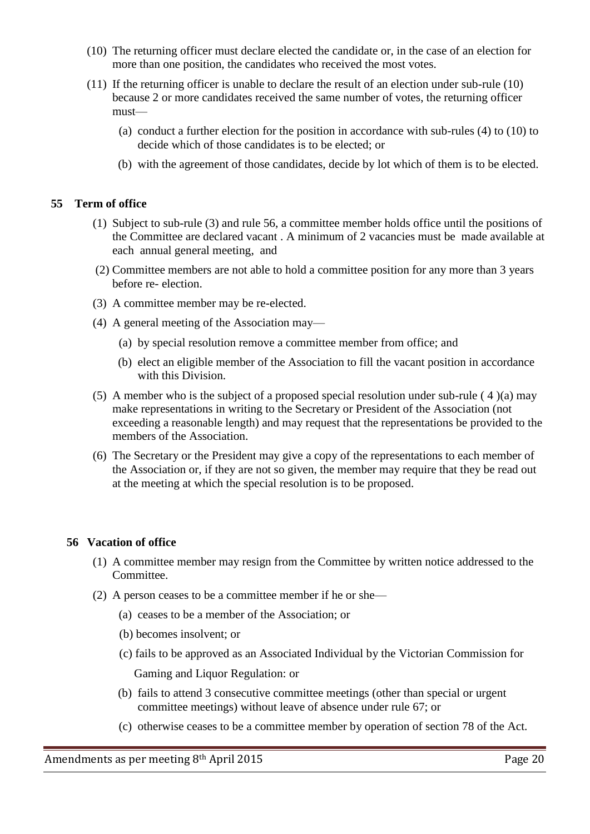- (10) The returning officer must declare elected the candidate or, in the case of an election for more than one position, the candidates who received the most votes.
- (11) If the returning officer is unable to declare the result of an election under sub-rule (10) because 2 or more candidates received the same number of votes, the returning officer must—
	- (a) conduct a further election for the position in accordance with sub-rules (4) to (10) to decide which of those candidates is to be elected; or
	- (b) with the agreement of those candidates, decide by lot which of them is to be elected.

## **55 Term of office**

- (1) Subject to sub-rule (3) and rule 56, a committee member holds office until the positions of the Committee are declared vacant . A minimum of 2 vacancies must be made available at each annual general meeting, and
- (2) Committee members are not able to hold a committee position for any more than 3 years before re- election.
- (3) A committee member may be re-elected.
- (4) A general meeting of the Association may—
	- (a) by special resolution remove a committee member from office; and
	- (b) elect an eligible member of the Association to fill the vacant position in accordance with this Division.
- (5) A member who is the subject of a proposed special resolution under sub-rule ( 4 )(a) may make representations in writing to the Secretary or President of the Association (not exceeding a reasonable length) and may request that the representations be provided to the members of the Association.
- (6) The Secretary or the President may give a copy of the representations to each member of the Association or, if they are not so given, the member may require that they be read out at the meeting at which the special resolution is to be proposed.

#### **56 Vacation of office**

- (1) A committee member may resign from the Committee by written notice addressed to the Committee.
- (2) A person ceases to be a committee member if he or she—
	- (a) ceases to be a member of the Association; or
	- (b) becomes insolvent; or
	- (c) fails to be approved as an Associated Individual by the Victorian Commission for Gaming and Liquor Regulation: or
	- (b) fails to attend 3 consecutive committee meetings (other than special or urgent committee meetings) without leave of absence under rule 67; or
	- (c) otherwise ceases to be a committee member by operation of section 78 of the Act.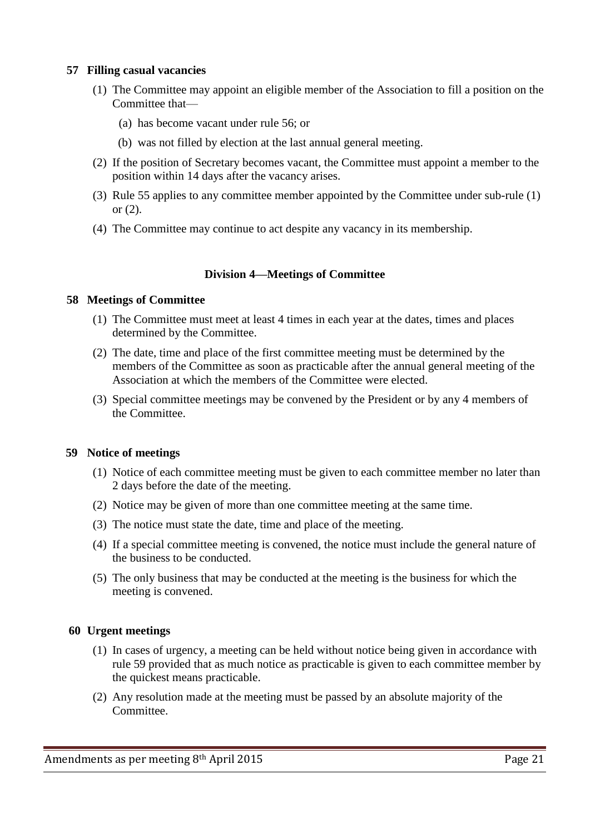### **57 Filling casual vacancies**

- (1) The Committee may appoint an eligible member of the Association to fill a position on the Committee that—
	- (a) has become vacant under rule 56; or
	- (b) was not filled by election at the last annual general meeting.
- (2) If the position of Secretary becomes vacant, the Committee must appoint a member to the position within 14 days after the vacancy arises.
- (3) Rule 55 applies to any committee member appointed by the Committee under sub-rule (1) or (2).
- (4) The Committee may continue to act despite any vacancy in its membership.

## **Division 4—Meetings of Committee**

### **58 Meetings of Committee**

- (1) The Committee must meet at least 4 times in each year at the dates, times and places determined by the Committee.
- (2) The date, time and place of the first committee meeting must be determined by the members of the Committee as soon as practicable after the annual general meeting of the Association at which the members of the Committee were elected.
- (3) Special committee meetings may be convened by the President or by any 4 members of the Committee.

#### **59 Notice of meetings**

- (1) Notice of each committee meeting must be given to each committee member no later than 2 days before the date of the meeting.
- (2) Notice may be given of more than one committee meeting at the same time.
- (3) The notice must state the date, time and place of the meeting.
- (4) If a special committee meeting is convened, the notice must include the general nature of the business to be conducted.
- (5) The only business that may be conducted at the meeting is the business for which the meeting is convened.

## **60 Urgent meetings**

- (1) In cases of urgency, a meeting can be held without notice being given in accordance with rule 59 provided that as much notice as practicable is given to each committee member by the quickest means practicable.
- (2) Any resolution made at the meeting must be passed by an absolute majority of the Committee.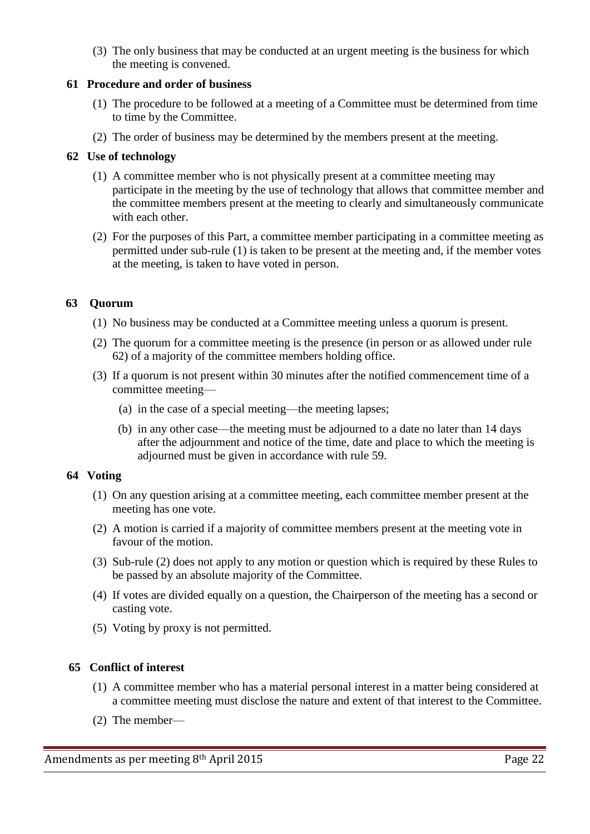(3) The only business that may be conducted at an urgent meeting is the business for which the meeting is convened.

### **61 Procedure and order of business**

- (1) The procedure to be followed at a meeting of a Committee must be determined from time to time by the Committee.
- (2) The order of business may be determined by the members present at the meeting.

## **62 Use of technology**

- (1) A committee member who is not physically present at a committee meeting may participate in the meeting by the use of technology that allows that committee member and the committee members present at the meeting to clearly and simultaneously communicate with each other.
- (2) For the purposes of this Part, a committee member participating in a committee meeting as permitted under sub-rule (1) is taken to be present at the meeting and, if the member votes at the meeting, is taken to have voted in person.

## **63 Quorum**

- (1) No business may be conducted at a Committee meeting unless a quorum is present.
- (2) The quorum for a committee meeting is the presence (in person or as allowed under rule 62) of a majority of the committee members holding office.
- (3) If a quorum is not present within 30 minutes after the notified commencement time of a committee meeting—
	- (a) in the case of a special meeting—the meeting lapses;
	- (b) in any other case—the meeting must be adjourned to a date no later than 14 days after the adjournment and notice of the time, date and place to which the meeting is adjourned must be given in accordance with rule 59.

## **64 Voting**

- (1) On any question arising at a committee meeting, each committee member present at the meeting has one vote.
- (2) A motion is carried if a majority of committee members present at the meeting vote in favour of the motion.
- (3) Sub-rule (2) does not apply to any motion or question which is required by these Rules to be passed by an absolute majority of the Committee.
- (4) If votes are divided equally on a question, the Chairperson of the meeting has a second or casting vote.
- (5) Voting by proxy is not permitted.

## **65 Conflict of interest**

- (1) A committee member who has a material personal interest in a matter being considered at a committee meeting must disclose the nature and extent of that interest to the Committee.
- (2) The member—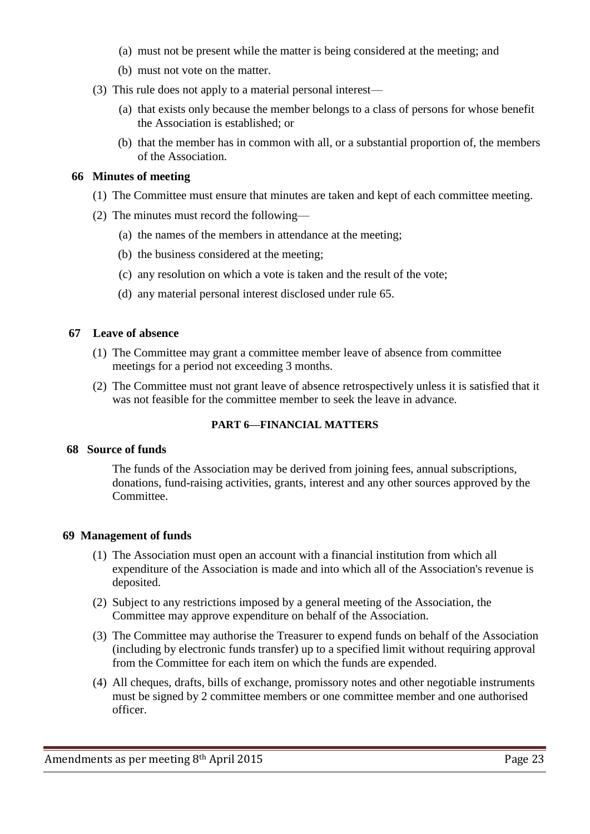- (a) must not be present while the matter is being considered at the meeting; and
- (b) must not vote on the matter.
- (3) This rule does not apply to a material personal interest—
	- (a) that exists only because the member belongs to a class of persons for whose benefit the Association is established; or
	- (b) that the member has in common with all, or a substantial proportion of, the members of the Association.

### **66 Minutes of meeting**

- (1) The Committee must ensure that minutes are taken and kept of each committee meeting.
- (2) The minutes must record the following—
	- (a) the names of the members in attendance at the meeting;
	- (b) the business considered at the meeting;
	- (c) any resolution on which a vote is taken and the result of the vote;
	- (d) any material personal interest disclosed under rule 65.

### **67 Leave of absence**

- (1) The Committee may grant a committee member leave of absence from committee meetings for a period not exceeding 3 months.
- (2) The Committee must not grant leave of absence retrospectively unless it is satisfied that it was not feasible for the committee member to seek the leave in advance.

## **PART 6—FINANCIAL MATTERS**

## **68 Source of funds**

The funds of the Association may be derived from joining fees, annual subscriptions, donations, fund-raising activities, grants, interest and any other sources approved by the Committee.

#### **69 Management of funds**

- (1) The Association must open an account with a financial institution from which all expenditure of the Association is made and into which all of the Association's revenue is deposited.
- (2) Subject to any restrictions imposed by a general meeting of the Association, the Committee may approve expenditure on behalf of the Association.
- (3) The Committee may authorise the Treasurer to expend funds on behalf of the Association (including by electronic funds transfer) up to a specified limit without requiring approval from the Committee for each item on which the funds are expended.
- (4) All cheques, drafts, bills of exchange, promissory notes and other negotiable instruments must be signed by 2 committee members or one committee member and one authorised officer.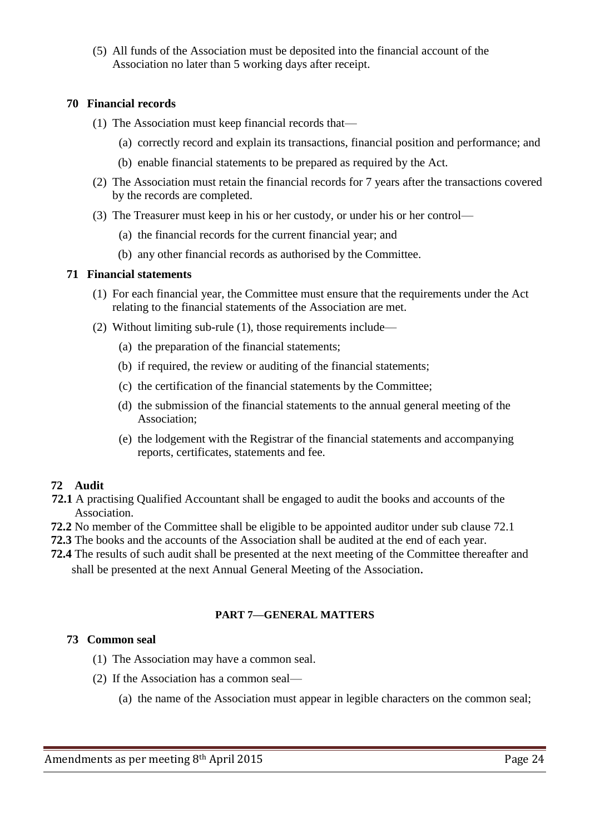(5) All funds of the Association must be deposited into the financial account of the Association no later than 5 working days after receipt.

## **70 Financial records**

- (1) The Association must keep financial records that—
	- (a) correctly record and explain its transactions, financial position and performance; and
	- (b) enable financial statements to be prepared as required by the Act.
- (2) The Association must retain the financial records for 7 years after the transactions covered by the records are completed.
- (3) The Treasurer must keep in his or her custody, or under his or her control—
	- (a) the financial records for the current financial year; and
	- (b) any other financial records as authorised by the Committee.

### **71 Financial statements**

- (1) For each financial year, the Committee must ensure that the requirements under the Act relating to the financial statements of the Association are met.
- (2) Without limiting sub-rule (1), those requirements include—
	- (a) the preparation of the financial statements;
	- (b) if required, the review or auditing of the financial statements;
	- (c) the certification of the financial statements by the Committee;
	- (d) the submission of the financial statements to the annual general meeting of the Association;
	- (e) the lodgement with the Registrar of the financial statements and accompanying reports, certificates, statements and fee.

## **72 Audit**

- **72.1** A practising Qualified Accountant shall be engaged to audit the books and accounts of the Association.
- **72.2** No member of the Committee shall be eligible to be appointed auditor under sub clause 72.1
- **72.3** The books and the accounts of the Association shall be audited at the end of each year.
- **72.4** The results of such audit shall be presented at the next meeting of the Committee thereafter and shall be presented at the next Annual General Meeting of the Association.

## **PART 7—GENERAL MATTERS**

## **73 Common seal**

- (1) The Association may have a common seal.
- (2) If the Association has a common seal—
	- (a) the name of the Association must appear in legible characters on the common seal;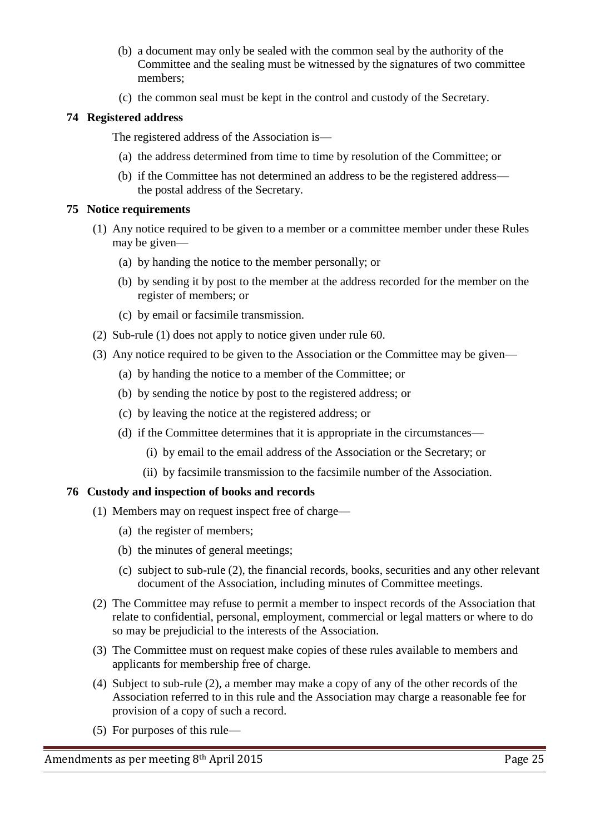- (b) a document may only be sealed with the common seal by the authority of the Committee and the sealing must be witnessed by the signatures of two committee members;
- (c) the common seal must be kept in the control and custody of the Secretary.

## **74 Registered address**

The registered address of the Association is—

- (a) the address determined from time to time by resolution of the Committee; or
- (b) if the Committee has not determined an address to be the registered address the postal address of the Secretary.

## **75 Notice requirements**

- (1) Any notice required to be given to a member or a committee member under these Rules may be given—
	- (a) by handing the notice to the member personally; or
	- (b) by sending it by post to the member at the address recorded for the member on the register of members; or
	- (c) by email or facsimile transmission.
- (2) Sub-rule (1) does not apply to notice given under rule 60.
- (3) Any notice required to be given to the Association or the Committee may be given—
	- (a) by handing the notice to a member of the Committee; or
	- (b) by sending the notice by post to the registered address; or
	- (c) by leaving the notice at the registered address; or
	- (d) if the Committee determines that it is appropriate in the circumstances—
		- (i) by email to the email address of the Association or the Secretary; or
		- (ii) by facsimile transmission to the facsimile number of the Association.

## **76 Custody and inspection of books and records**

- (1) Members may on request inspect free of charge—
	- (a) the register of members;
	- (b) the minutes of general meetings;
	- (c) subject to sub-rule (2), the financial records, books, securities and any other relevant document of the Association, including minutes of Committee meetings.
- (2) The Committee may refuse to permit a member to inspect records of the Association that relate to confidential, personal, employment, commercial or legal matters or where to do so may be prejudicial to the interests of the Association.
- (3) The Committee must on request make copies of these rules available to members and applicants for membership free of charge.
- (4) Subject to sub-rule (2), a member may make a copy of any of the other records of the Association referred to in this rule and the Association may charge a reasonable fee for provision of a copy of such a record.
- (5) For purposes of this rule—